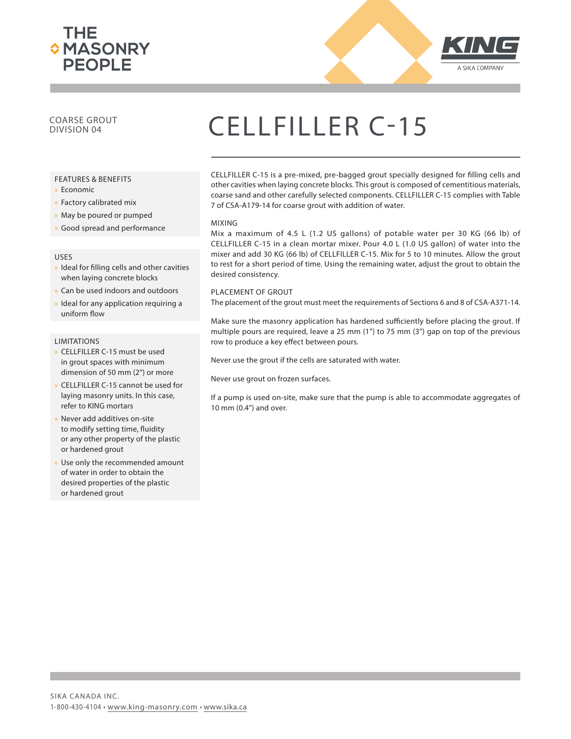



### COARSE GROUT

#### FEATURES & BENEFITS

- x Economic
- » Factory calibrated mix
- » May be poured or pumped
- » Good spread and performance

#### USES

- » Ideal for filling cells and other cavities when laying concrete blocks
- x Can be used indoors and outdoors
- Ideal for any application requiring a uniform flow

#### **LIMITATIONS**

- x CELLFILLER C-15 must be used in grout spaces with minimum dimension of 50 mm (2") or more
- x CELLFILLER C-15 cannot be used for laying masonry units. In this case, refer to KING mortars
- Never add additives on-site to modify setting time, fluidity or any other property of the plastic or hardened grout
- Use only the recommended amount of water in order to obtain the desired properties of the plastic or hardened grout

## COARSE GROUT CELLFILLER C-15

CELLFILLER C-15 is a pre-mixed, pre-bagged grout specially designed for filling cells and other cavities when laying concrete blocks. This grout is composed of cementitious materials, coarse sand and other carefully selected components. CELLFILLER C-15 complies with Table 7 of CSA-A179-14 for coarse grout with addition of water.

#### MIXING

Mix a maximum of 4.5 L (1.2 US gallons) of potable water per 30 KG (66 lb) of CELLFILLER C-15 in a clean mortar mixer. Pour 4.0 L (1.0 US gallon) of water into the mixer and add 30 KG (66 lb) of CELLFILLER C-15. Mix for 5 to 10 minutes. Allow the grout to rest for a short period of time. Using the remaining water, adjust the grout to obtain the desired consistency.

#### PLACEMENT OF GROUT

The placement of the grout must meet the requirements of Sections 6 and 8 of CSA-A371-14.

Make sure the masonry application has hardened sufficiently before placing the grout. If multiple pours are required, leave a 25 mm (1") to 75 mm (3") gap on top of the previous row to produce a key effect between pours.

Never use the grout if the cells are saturated with water.

Never use grout on frozen surfaces.

If a pump is used on-site, make sure that the pump is able to accommodate aggregates of 10 mm (0.4") and over.